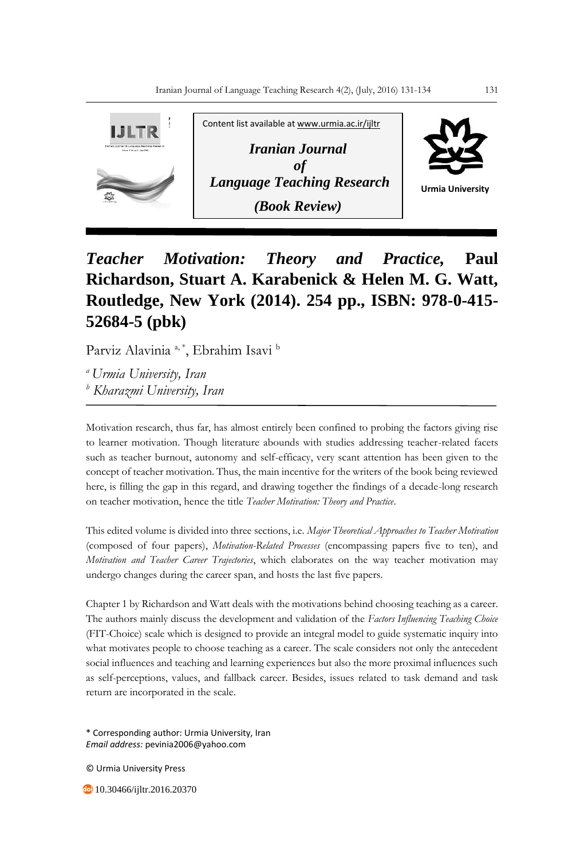

## *Teacher Motivation: Theory and Practice,* **Paul Richardson, Stuart A. Karabenick & Helen M. G. Watt, Routledge, New York (2014). 254 pp., ISBN: 978-0-415- 52684-5 (pbk)**

Parviz Alavinia<sup>a, \*</sup>, Ebrahim Isavi <sup>b</sup>

*<sup>a</sup>Urmia University, Iran <sup>b</sup> Kharazmi University, Iran*

Motivation research, thus far, has almost entirely been confined to probing the factors giving rise to learner motivation. Though literature abounds with studies addressing teacher-related facets such as teacher burnout, autonomy and self-efficacy, very scant attention has been given to the concept of teacher motivation. Thus, the main incentive for the writers of the book being reviewed here, is filling the gap in this regard, and drawing together the findings of a decade-long research on teacher motivation, hence the title *Teacher Motivation: Theory and Practice*.

This edited volume is divided into three sections, i.e. *Major Theoretical Approaches to Teacher Motivation* (composed of four papers), *Motivation-Related Processes* (encompassing papers five to ten), and *Motivation and Teacher Career Trajectories*, which elaborates on the way teacher motivation may undergo changes during the career span, and hosts the last five papers.

Chapter 1 by Richardson and Watt deals with the motivations behind choosing teaching as a career. The authors mainly discuss the development and validation of the *Factors Influencing Teaching Choice*  (FIT-Choice) scale which is designed to provide an integral model to guide systematic inquiry into what motivates people to choose teaching as a career. The scale considers not only the antecedent social influences and teaching and learning experiences but also the more proximal influences such as self-perceptions, values, and fallback career. Besides, issues related to task demand and task return are incorporated in the scale.

\* Corresponding author: Urmia University, Iran *Email address:* pevinia2006@yahoo.com

© Urmia University Press

**10.30466/ijltr.2016.20370**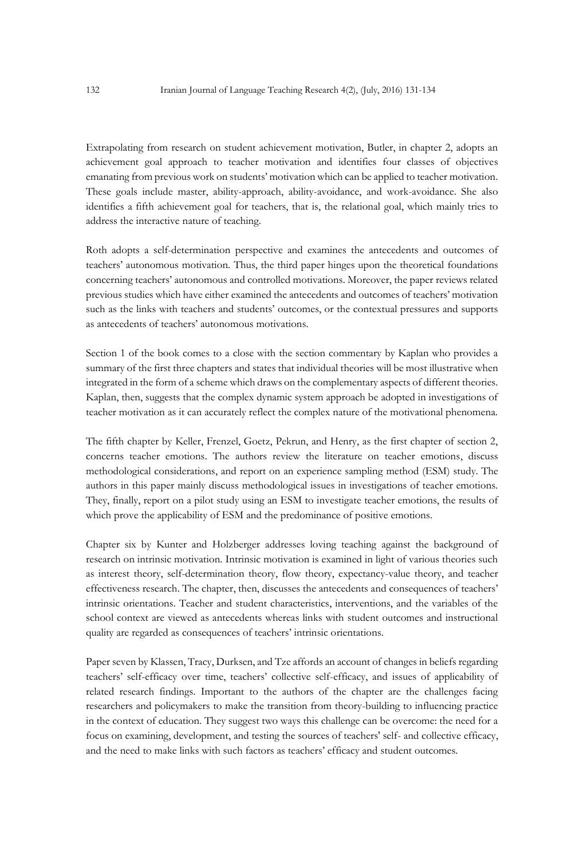Extrapolating from research on student achievement motivation, Butler, in chapter 2, adopts an achievement goal approach to teacher motivation and identifies four classes of objectives emanating from previous work on students' motivation which can be applied to teacher motivation. These goals include master, ability-approach, ability-avoidance, and work-avoidance. She also identifies a fifth achievement goal for teachers, that is, the relational goal, which mainly tries to address the interactive nature of teaching.

Roth adopts a self-determination perspective and examines the antecedents and outcomes of teachers' autonomous motivation. Thus, the third paper hinges upon the theoretical foundations concerning teachers' autonomous and controlled motivations. Moreover, the paper reviews related previous studies which have either examined the antecedents and outcomes of teachers' motivation such as the links with teachers and students' outcomes, or the contextual pressures and supports as antecedents of teachers' autonomous motivations.

Section 1 of the book comes to a close with the section commentary by Kaplan who provides a summary of the first three chapters and states that individual theories will be most illustrative when integrated in the form of a scheme which draws on the complementary aspects of different theories. Kaplan, then, suggests that the complex dynamic system approach be adopted in investigations of teacher motivation as it can accurately reflect the complex nature of the motivational phenomena.

The fifth chapter by Keller, Frenzel, Goetz, Pekrun, and Henry, as the first chapter of section 2, concerns teacher emotions. The authors review the literature on teacher emotions, discuss methodological considerations, and report on an experience sampling method (ESM) study. The authors in this paper mainly discuss methodological issues in investigations of teacher emotions. They, finally, report on a pilot study using an ESM to investigate teacher emotions, the results of which prove the applicability of ESM and the predominance of positive emotions.

Chapter six by Kunter and Holzberger addresses loving teaching against the background of research on intrinsic motivation. Intrinsic motivation is examined in light of various theories such as interest theory, self-determination theory, flow theory, expectancy-value theory, and teacher effectiveness research. The chapter, then, discusses the antecedents and consequences of teachers' intrinsic orientations. Teacher and student characteristics, interventions, and the variables of the school context are viewed as antecedents whereas links with student outcomes and instructional quality are regarded as consequences of teachers' intrinsic orientations.

Paper seven by Klassen, Tracy, Durksen, and Tze affords an account of changes in beliefs regarding teachers' self-efficacy over time, teachers' collective self-efficacy, and issues of applicability of related research findings. Important to the authors of the chapter are the challenges facing researchers and policymakers to make the transition from theory-building to influencing practice in the context of education. They suggest two ways this challenge can be overcome: the need for a focus on examining, development, and testing the sources of teachers' self- and collective efficacy, and the need to make links with such factors as teachers' efficacy and student outcomes.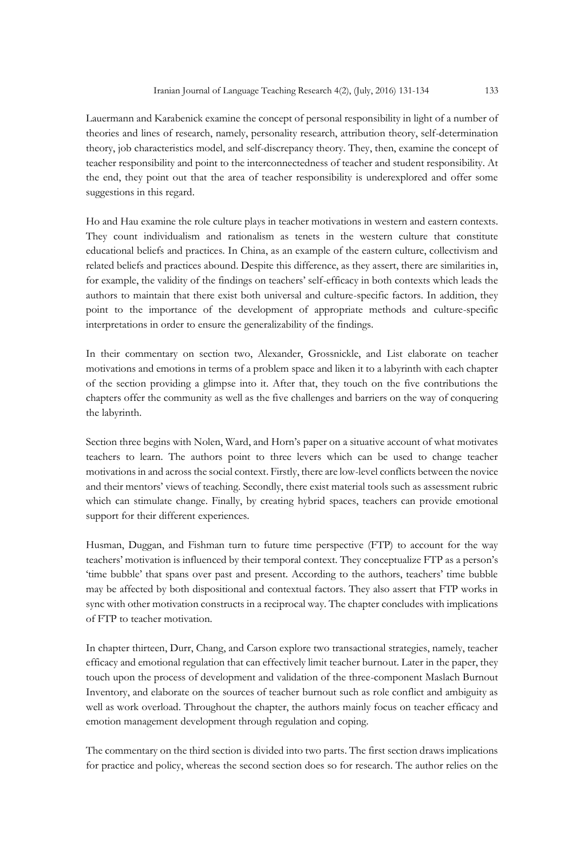Lauermann and Karabenick examine the concept of personal responsibility in light of a number of theories and lines of research, namely, personality research, attribution theory, self-determination theory, job characteristics model, and self-discrepancy theory. They, then, examine the concept of teacher responsibility and point to the interconnectedness of teacher and student responsibility. At the end, they point out that the area of teacher responsibility is underexplored and offer some suggestions in this regard.

Ho and Hau examine the role culture plays in teacher motivations in western and eastern contexts. They count individualism and rationalism as tenets in the western culture that constitute educational beliefs and practices. In China, as an example of the eastern culture, collectivism and related beliefs and practices abound. Despite this difference, as they assert, there are similarities in, for example, the validity of the findings on teachers' self-efficacy in both contexts which leads the authors to maintain that there exist both universal and culture-specific factors. In addition, they point to the importance of the development of appropriate methods and culture-specific interpretations in order to ensure the generalizability of the findings.

In their commentary on section two, Alexander, Grossnickle, and List elaborate on teacher motivations and emotions in terms of a problem space and liken it to a labyrinth with each chapter of the section providing a glimpse into it. After that, they touch on the five contributions the chapters offer the community as well as the five challenges and barriers on the way of conquering the labyrinth.

Section three begins with Nolen, Ward, and Horn's paper on a situative account of what motivates teachers to learn. The authors point to three levers which can be used to change teacher motivations in and across the social context. Firstly, there are low-level conflicts between the novice and their mentors' views of teaching. Secondly, there exist material tools such as assessment rubric which can stimulate change. Finally, by creating hybrid spaces, teachers can provide emotional support for their different experiences.

Husman, Duggan, and Fishman turn to future time perspective (FTP) to account for the way teachers' motivation is influenced by their temporal context. They conceptualize FTP as a person's 'time bubble' that spans over past and present. According to the authors, teachers' time bubble may be affected by both dispositional and contextual factors. They also assert that FTP works in sync with other motivation constructs in a reciprocal way. The chapter concludes with implications of FTP to teacher motivation.

In chapter thirteen, Durr, Chang, and Carson explore two transactional strategies, namely, teacher efficacy and emotional regulation that can effectively limit teacher burnout. Later in the paper, they touch upon the process of development and validation of the three-component Maslach Burnout Inventory, and elaborate on the sources of teacher burnout such as role conflict and ambiguity as well as work overload. Throughout the chapter, the authors mainly focus on teacher efficacy and emotion management development through regulation and coping.

The commentary on the third section is divided into two parts. The first section draws implications for practice and policy, whereas the second section does so for research. The author relies on the